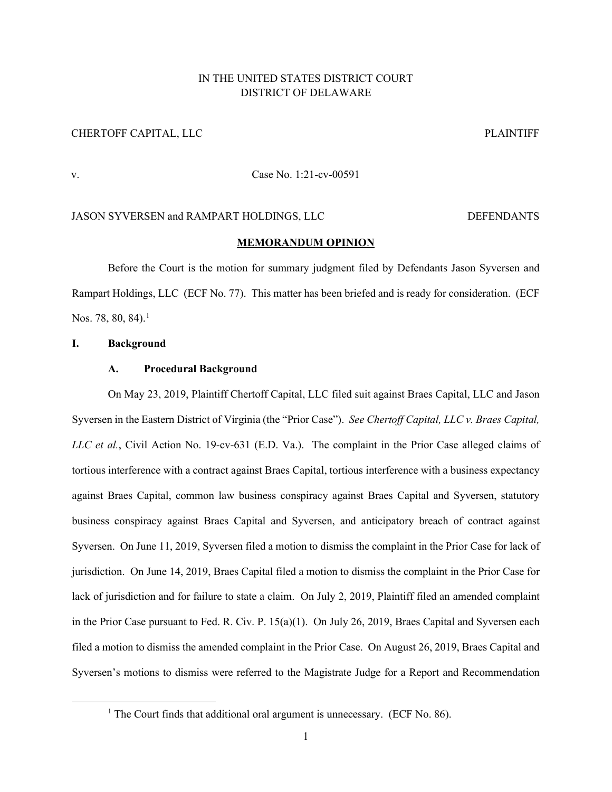# IN THE UNITED STATES DISTRICT COURT DISTRICT OF DELAWARE

# CHERTOFF CAPITAL, LLC **PLAINTIFF**

# v. Case No. 1:21-cv-00591

## JASON SYVERSEN and RAMPART HOLDINGS, LLC DEFENDANTS

### **MEMORANDUM OPINION**

Before the Court is the motion for summary judgment filed by Defendants Jason Syversen and Rampart Holdings, LLC (ECF No. 77). This matter has been briefed and is ready for consideration. (ECF Nos. 78, 80, 84). $^1$  $^1$ 

#### **I. Background**

### **A. Procedural Background**

On May 23, 2019, Plaintiff Chertoff Capital, LLC filed suit against Braes Capital, LLC and Jason Syversen in the Eastern District of Virginia (the "Prior Case"). *See Chertoff Capital, LLC v. Braes Capital, LLC et al.*, Civil Action No. 19-cv-631 (E.D. Va.). The complaint in the Prior Case alleged claims of tortious interference with a contract against Braes Capital, tortious interference with a business expectancy against Braes Capital, common law business conspiracy against Braes Capital and Syversen, statutory business conspiracy against Braes Capital and Syversen, and anticipatory breach of contract against Syversen. On June 11, 2019, Syversen filed a motion to dismiss the complaint in the Prior Case for lack of jurisdiction. On June 14, 2019, Braes Capital filed a motion to dismiss the complaint in the Prior Case for lack of jurisdiction and for failure to state a claim. On July 2, 2019, Plaintiff filed an amended complaint in the Prior Case pursuant to Fed. R. Civ. P. 15(a)(1). On July 26, 2019, Braes Capital and Syversen each filed a motion to dismiss the amended complaint in the Prior Case. On August 26, 2019, Braes Capital and Syversen's motions to dismiss were referred to the Magistrate Judge for a Report and Recommendation

<span id="page-0-0"></span><sup>&</sup>lt;sup>1</sup> The Court finds that additional oral argument is unnecessary. (ECF No. 86).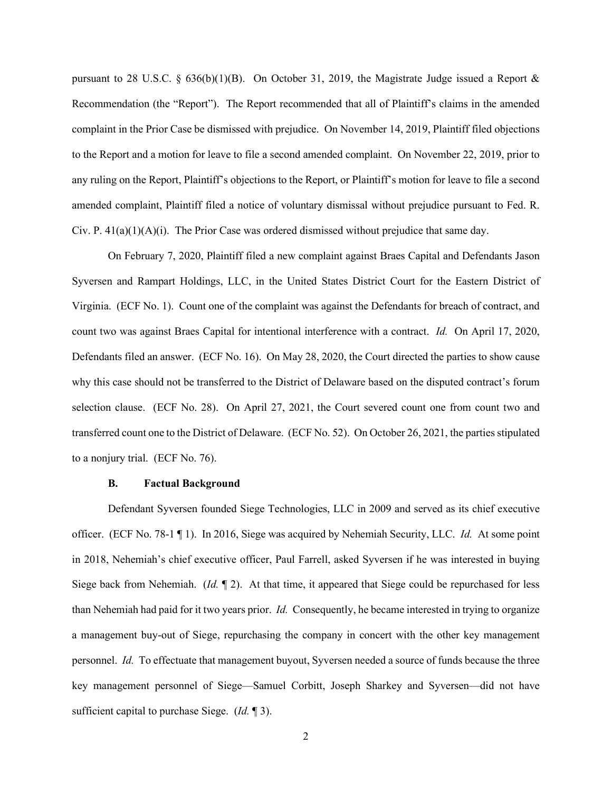pursuant to 28 U.S.C.  $\S$  636(b)(1)(B). On October 31, 2019, the Magistrate Judge issued a Report & Recommendation (the "Report"). The Report recommended that all of Plaintiff's claims in the amended complaint in the Prior Case be dismissed with prejudice. On November 14, 2019, Plaintiff filed objections to the Report and a motion for leave to file a second amended complaint. On November 22, 2019, prior to any ruling on the Report, Plaintiff's objections to the Report, or Plaintiff's motion for leave to file a second amended complaint, Plaintiff filed a notice of voluntary dismissal without prejudice pursuant to Fed. R. Civ. P. 41(a)(1)(A)(i). The Prior Case was ordered dismissed without prejudice that same day.

On February 7, 2020, Plaintiff filed a new complaint against Braes Capital and Defendants Jason Syversen and Rampart Holdings, LLC, in the United States District Court for the Eastern District of Virginia. (ECF No. 1). Count one of the complaint was against the Defendants for breach of contract, and count two was against Braes Capital for intentional interference with a contract. *Id.* On April 17, 2020, Defendants filed an answer. (ECF No. 16). On May 28, 2020, the Court directed the parties to show cause why this case should not be transferred to the District of Delaware based on the disputed contract's forum selection clause. (ECF No. 28). On April 27, 2021, the Court severed count one from count two and transferred count one to the District of Delaware. (ECF No. 52). On October 26, 2021, the parties stipulated to a nonjury trial. (ECF No. 76).

#### **B. Factual Background**

Defendant Syversen founded Siege Technologies, LLC in 2009 and served as its chief executive officer. (ECF No. 78-1 ¶ 1). In 2016, Siege was acquired by Nehemiah Security, LLC. *Id.* At some point in 2018, Nehemiah's chief executive officer, Paul Farrell, asked Syversen if he was interested in buying Siege back from Nehemiah. (*Id.* ¶ 2). At that time, it appeared that Siege could be repurchased for less than Nehemiah had paid for it two years prior. *Id.* Consequently, he became interested in trying to organize a management buy-out of Siege, repurchasing the company in concert with the other key management personnel. *Id.* To effectuate that management buyout, Syversen needed a source of funds because the three key management personnel of Siege—Samuel Corbitt, Joseph Sharkey and Syversen—did not have sufficient capital to purchase Siege. (*Id.* ¶ 3).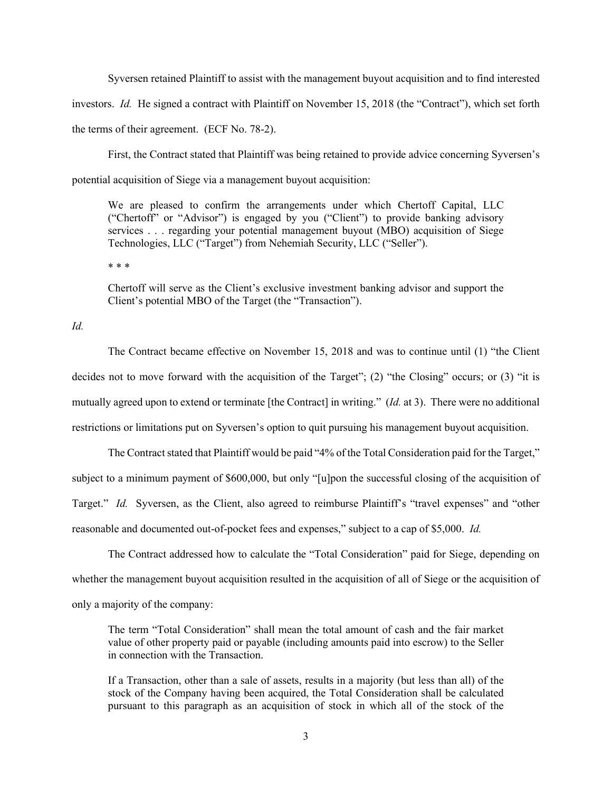Syversen retained Plaintiff to assist with the management buyout acquisition and to find interested investors. *Id.* He signed a contract with Plaintiff on November 15, 2018 (the "Contract"), which set forth the terms of their agreement. (ECF No. 78-2).

First, the Contract stated that Plaintiff was being retained to provide advice concerning Syversen's potential acquisition of Siege via a management buyout acquisition:

We are pleased to confirm the arrangements under which Chertoff Capital, LLC ("Chertoff" or "Advisor") is engaged by you ("Client") to provide banking advisory services . . . regarding your potential management buyout (MBO) acquisition of Siege Technologies, LLC ("Target") from Nehemiah Security, LLC ("Seller").

\* \* \*

Chertoff will serve as the Client's exclusive investment banking advisor and support the Client's potential MBO of the Target (the "Transaction").

*Id.* 

The Contract became effective on November 15, 2018 and was to continue until (1) "the Client decides not to move forward with the acquisition of the Target"; (2) "the Closing" occurs; or (3) "it is mutually agreed upon to extend or terminate [the Contract] in writing." (*Id.* at 3). There were no additional restrictions or limitations put on Syversen's option to quit pursuing his management buyout acquisition.

The Contract stated that Plaintiff would be paid "4% of the Total Consideration paid for the Target," subject to a minimum payment of \$600,000, but only "[u]pon the successful closing of the acquisition of Target." *Id.* Syversen, as the Client, also agreed to reimburse Plaintiff's "travel expenses" and "other reasonable and documented out-of-pocket fees and expenses," subject to a cap of \$5,000. *Id.* 

The Contract addressed how to calculate the "Total Consideration" paid for Siege, depending on whether the management buyout acquisition resulted in the acquisition of all of Siege or the acquisition of only a majority of the company:

The term "Total Consideration" shall mean the total amount of cash and the fair market value of other property paid or payable (including amounts paid into escrow) to the Seller in connection with the Transaction.

If a Transaction, other than a sale of assets, results in a majority (but less than all) of the stock of the Company having been acquired, the Total Consideration shall be calculated pursuant to this paragraph as an acquisition of stock in which all of the stock of the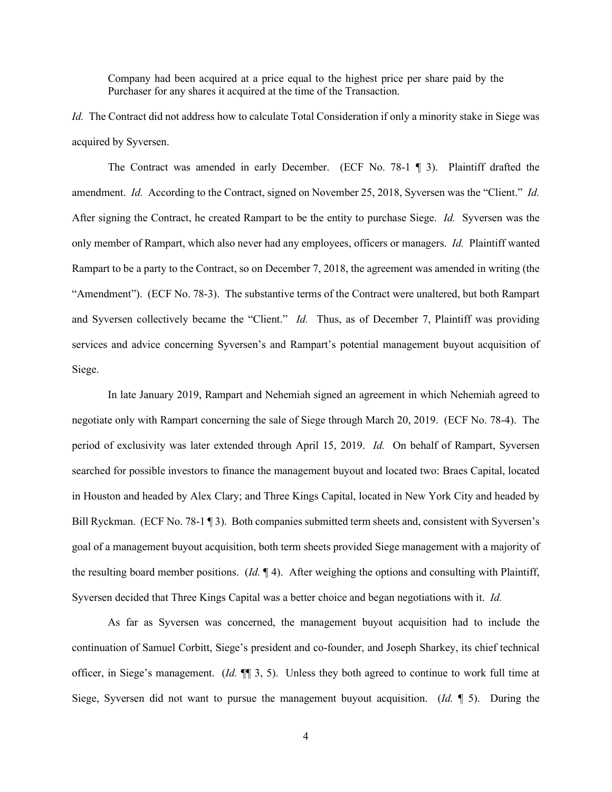Company had been acquired at a price equal to the highest price per share paid by the Purchaser for any shares it acquired at the time of the Transaction.

*Id.* The Contract did not address how to calculate Total Consideration if only a minority stake in Siege was acquired by Syversen.

The Contract was amended in early December. (ECF No. 78-1 ¶ 3). Plaintiff drafted the amendment. *Id.* According to the Contract, signed on November 25, 2018, Syversen was the "Client." *Id.* After signing the Contract, he created Rampart to be the entity to purchase Siege. *Id.* Syversen was the only member of Rampart, which also never had any employees, officers or managers. *Id.* Plaintiff wanted Rampart to be a party to the Contract, so on December 7, 2018, the agreement was amended in writing (the "Amendment"). (ECF No. 78-3). The substantive terms of the Contract were unaltered, but both Rampart and Syversen collectively became the "Client." *Id.* Thus, as of December 7, Plaintiff was providing services and advice concerning Syversen's and Rampart's potential management buyout acquisition of Siege.

In late January 2019, Rampart and Nehemiah signed an agreement in which Nehemiah agreed to negotiate only with Rampart concerning the sale of Siege through March 20, 2019. (ECF No. 78-4). The period of exclusivity was later extended through April 15, 2019. *Id.* On behalf of Rampart, Syversen searched for possible investors to finance the management buyout and located two: Braes Capital, located in Houston and headed by Alex Clary; and Three Kings Capital, located in New York City and headed by Bill Ryckman. (ECF No. 78-1 ¶ 3). Both companies submitted term sheets and, consistent with Syversen's goal of a management buyout acquisition, both term sheets provided Siege management with a majority of the resulting board member positions. (*Id.* ¶ 4). After weighing the options and consulting with Plaintiff, Syversen decided that Three Kings Capital was a better choice and began negotiations with it. *Id.*

As far as Syversen was concerned, the management buyout acquisition had to include the continuation of Samuel Corbitt, Siege's president and co-founder, and Joseph Sharkey, its chief technical officer, in Siege's management. (*Id.* ¶¶ 3, 5). Unless they both agreed to continue to work full time at Siege, Syversen did not want to pursue the management buyout acquisition. (*Id.* ¶ 5). During the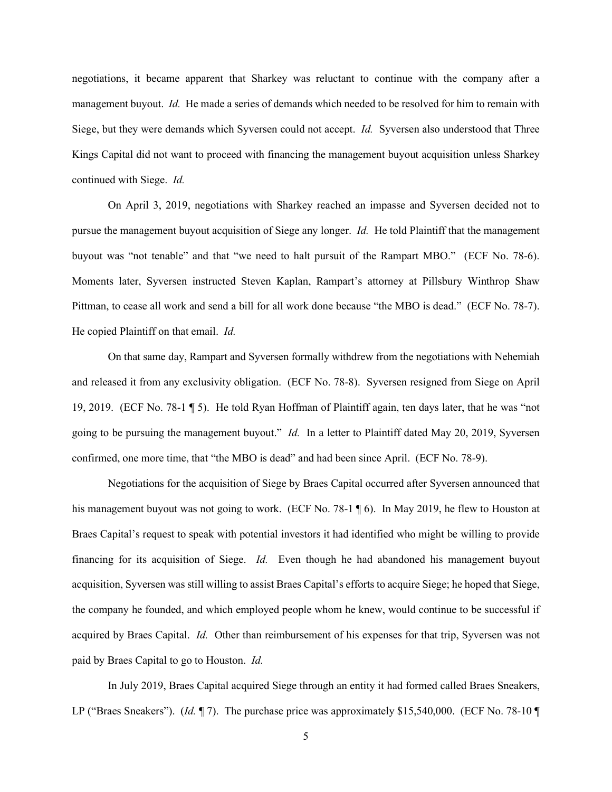negotiations, it became apparent that Sharkey was reluctant to continue with the company after a management buyout. *Id.* He made a series of demands which needed to be resolved for him to remain with Siege, but they were demands which Syversen could not accept. *Id.* Syversen also understood that Three Kings Capital did not want to proceed with financing the management buyout acquisition unless Sharkey continued with Siege. *Id.*

On April 3, 2019, negotiations with Sharkey reached an impasse and Syversen decided not to pursue the management buyout acquisition of Siege any longer. *Id.* He told Plaintiff that the management buyout was "not tenable" and that "we need to halt pursuit of the Rampart MBO." (ECF No. 78-6). Moments later, Syversen instructed Steven Kaplan, Rampart's attorney at Pillsbury Winthrop Shaw Pittman, to cease all work and send a bill for all work done because "the MBO is dead." (ECF No. 78-7). He copied Plaintiff on that email. *Id.*

On that same day, Rampart and Syversen formally withdrew from the negotiations with Nehemiah and released it from any exclusivity obligation. (ECF No. 78-8). Syversen resigned from Siege on April 19, 2019. (ECF No. 78-1 ¶ 5). He told Ryan Hoffman of Plaintiff again, ten days later, that he was "not going to be pursuing the management buyout." *Id.* In a letter to Plaintiff dated May 20, 2019, Syversen confirmed, one more time, that "the MBO is dead" and had been since April. (ECF No. 78-9).

Negotiations for the acquisition of Siege by Braes Capital occurred after Syversen announced that his management buyout was not going to work. (ECF No. 78-1 \int 6). In May 2019, he flew to Houston at Braes Capital's request to speak with potential investors it had identified who might be willing to provide financing for its acquisition of Siege. *Id.* Even though he had abandoned his management buyout acquisition, Syversen was still willing to assist Braes Capital's efforts to acquire Siege; he hoped that Siege, the company he founded, and which employed people whom he knew, would continue to be successful if acquired by Braes Capital. *Id.* Other than reimbursement of his expenses for that trip, Syversen was not paid by Braes Capital to go to Houston. *Id.*

In July 2019, Braes Capital acquired Siege through an entity it had formed called Braes Sneakers, LP ("Braes Sneakers"). (*Id.* ¶ 7). The purchase price was approximately \$15,540,000. (ECF No. 78-10 ¶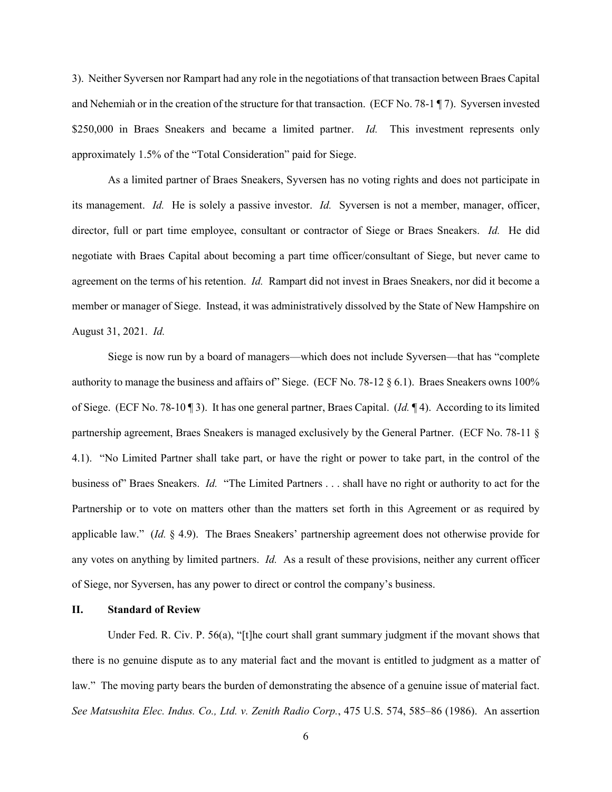3). Neither Syversen nor Rampart had any role in the negotiations of that transaction between Braes Capital and Nehemiah or in the creation of the structure for that transaction. (ECF No. 78-1 ¶ 7). Syversen invested \$250,000 in Braes Sneakers and became a limited partner. *Id.* This investment represents only approximately 1.5% of the "Total Consideration" paid for Siege.

As a limited partner of Braes Sneakers, Syversen has no voting rights and does not participate in its management. *Id.* He is solely a passive investor. *Id.* Syversen is not a member, manager, officer, director, full or part time employee, consultant or contractor of Siege or Braes Sneakers. *Id.* He did negotiate with Braes Capital about becoming a part time officer/consultant of Siege, but never came to agreement on the terms of his retention. *Id.* Rampart did not invest in Braes Sneakers, nor did it become a member or manager of Siege. Instead, it was administratively dissolved by the State of New Hampshire on August 31, 2021. *Id.*

Siege is now run by a board of managers—which does not include Syversen—that has "complete authority to manage the business and affairs of" Siege. (ECF No. 78-12 § 6.1). Braes Sneakers owns 100% of Siege. (ECF No. 78-10 ¶ 3). It has one general partner, Braes Capital. (*Id.* ¶ 4). According to its limited partnership agreement, Braes Sneakers is managed exclusively by the General Partner. (ECF No. 78-11 § 4.1). "No Limited Partner shall take part, or have the right or power to take part, in the control of the business of" Braes Sneakers. *Id.* "The Limited Partners . . . shall have no right or authority to act for the Partnership or to vote on matters other than the matters set forth in this Agreement or as required by applicable law." (*Id.* § 4.9). The Braes Sneakers' partnership agreement does not otherwise provide for any votes on anything by limited partners. *Id.* As a result of these provisions, neither any current officer of Siege, nor Syversen, has any power to direct or control the company's business.

### **II. Standard of Review**

Under Fed. R. Civ. P. 56(a), "[t]he court shall grant summary judgment if the movant shows that there is no genuine dispute as to any material fact and the movant is entitled to judgment as a matter of law." The moving party bears the burden of demonstrating the absence of a genuine issue of material fact. *See Matsushita Elec. Indus. Co., Ltd. v. Zenith Radio Corp.*, 475 U.S. 574, 585–86 (1986). An assertion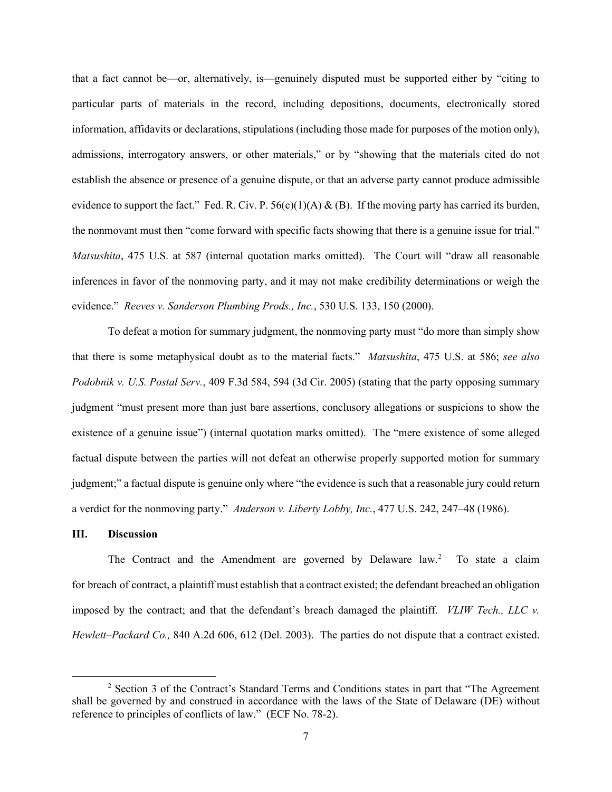that a fact cannot be—or, alternatively, is—genuinely disputed must be supported either by "citing to particular parts of materials in the record, including depositions, documents, electronically stored information, affidavits or declarations, stipulations (including those made for purposes of the motion only), admissions, interrogatory answers, or other materials," or by "showing that the materials cited do not establish the absence or presence of a genuine dispute, or that an adverse party cannot produce admissible evidence to support the fact." Fed. R. Civ. P.  $56(c)(1)(A) & (B)$ . If the moving party has carried its burden, the nonmovant must then "come forward with specific facts showing that there is a genuine issue for trial." *Matsushita*, 475 U.S. at 587 (internal quotation marks omitted). The Court will "draw all reasonable inferences in favor of the nonmoving party, and it may not make credibility determinations or weigh the evidence." *Reeves v. Sanderson Plumbing Prods., Inc.*, 530 U.S. 133, 150 (2000).

To defeat a motion for summary judgment, the nonmoving party must "do more than simply show that there is some metaphysical doubt as to the material facts." *Matsushita*, 475 U.S. at 586; *see also Podobnik v. U.S. Postal Serv.*, 409 F.3d 584, 594 (3d Cir. 2005) (stating that the party opposing summary judgment "must present more than just bare assertions, conclusory allegations or suspicions to show the existence of a genuine issue") (internal quotation marks omitted). The "mere existence of some alleged factual dispute between the parties will not defeat an otherwise properly supported motion for summary judgment;" a factual dispute is genuine only where "the evidence is such that a reasonable jury could return a verdict for the nonmoving party." *Anderson v. Liberty Lobby, Inc.*, 477 U.S. 242, 247–48 (1986).

## **III. Discussion**

The Contract and the Amendment are governed by Delaware law.<sup>[2](#page-6-0)</sup> To state a claim for breach of contract, a plaintiff must establish that a contract existed; the defendant breached an obligation imposed by the contract; and that the defendant's breach damaged the plaintiff. *VLIW Tech., LLC v. Hewlett–Packard Co.,* 840 A.2d 606, 612 (Del. 2003). The parties do not dispute that a contract existed.

<span id="page-6-0"></span><sup>2</sup> Section 3 of the Contract's Standard Terms and Conditions states in part that "The Agreement shall be governed by and construed in accordance with the laws of the State of Delaware (DE) without reference to principles of conflicts of law." (ECF No. 78-2).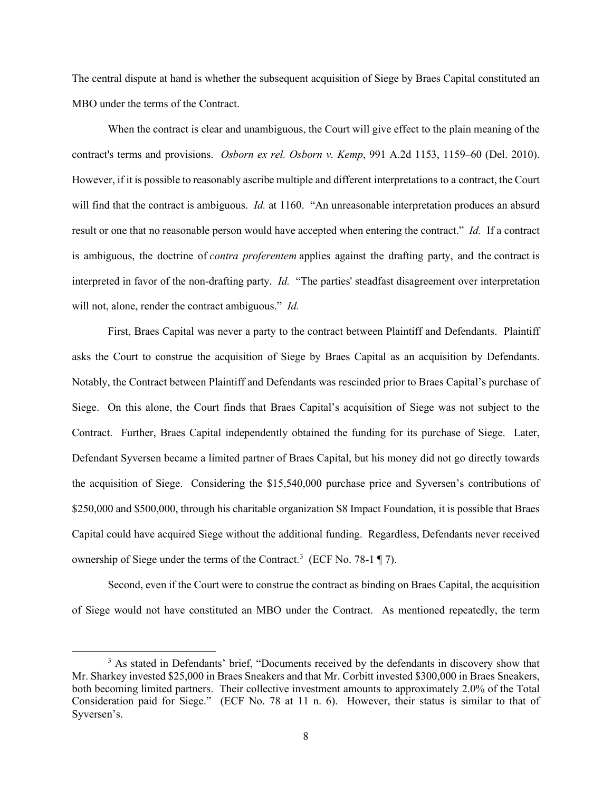The central dispute at hand is whether the subsequent acquisition of Siege by Braes Capital constituted an MBO under the terms of the Contract.

When the contract is clear and unambiguous, the Court will give effect to the plain meaning of the contract's terms and provisions. *Osborn ex rel. Osborn v. Kemp*, 991 A.2d 1153, 1159–60 (Del. 2010). However, if it is possible to reasonably ascribe multiple and different interpretations to a contract, the Court will find that the contract is ambiguous. *Id.* at 1160. "An unreasonable interpretation produces an absurd result or one that no reasonable person would have accepted when entering the contract." *Id.* If a contract is ambiguous, the doctrine of *contra proferentem* applies against the drafting party, and the contract is interpreted in favor of the non-drafting party. *Id.* "The parties' steadfast disagreement over interpretation will not, alone, render the contract ambiguous." *Id.* 

First, Braes Capital was never a party to the contract between Plaintiff and Defendants. Plaintiff asks the Court to construe the acquisition of Siege by Braes Capital as an acquisition by Defendants. Notably, the Contract between Plaintiff and Defendants was rescinded prior to Braes Capital's purchase of Siege. On this alone, the Court finds that Braes Capital's acquisition of Siege was not subject to the Contract. Further, Braes Capital independently obtained the funding for its purchase of Siege. Later, Defendant Syversen became a limited partner of Braes Capital, but his money did not go directly towards the acquisition of Siege. Considering the \$15,540,000 purchase price and Syversen's contributions of \$250,000 and \$500,000, through his charitable organization S8 Impact Foundation, it is possible that Braes Capital could have acquired Siege without the additional funding. Regardless, Defendants never received ownership of Siege under the terms of the Contract.<sup>[3](#page-7-0)</sup> (ECF No. 78-1  $\P$  7).

Second, even if the Court were to construe the contract as binding on Braes Capital, the acquisition of Siege would not have constituted an MBO under the Contract. As mentioned repeatedly, the term

<span id="page-7-0"></span><sup>&</sup>lt;sup>3</sup> As stated in Defendants' brief, "Documents received by the defendants in discovery show that Mr. Sharkey invested \$25,000 in Braes Sneakers and that Mr. Corbitt invested \$300,000 in Braes Sneakers, both becoming limited partners. Their collective investment amounts to approximately 2.0% of the Total Consideration paid for Siege." (ECF No. 78 at 11 n. 6). However, their status is similar to that of Syversen's.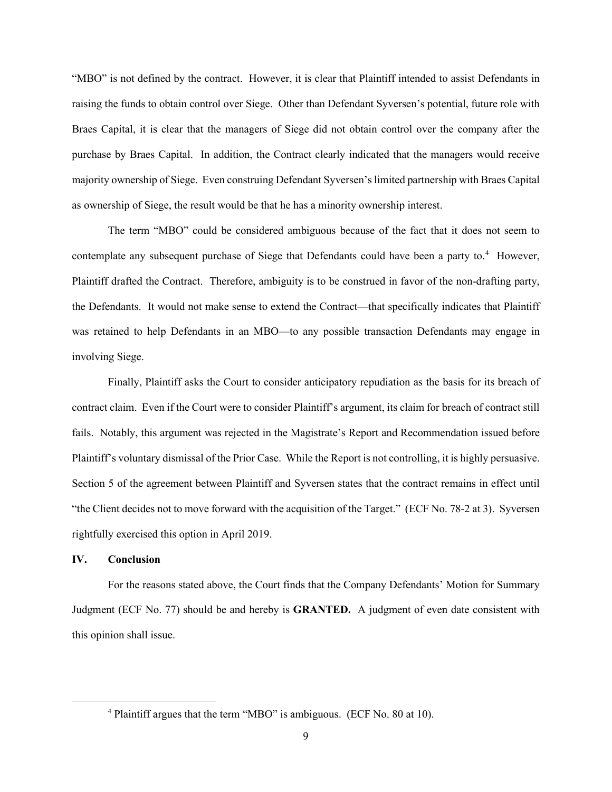"MBO" is not defined by the contract. However, it is clear that Plaintiff intended to assist Defendants in raising the funds to obtain control over Siege. Other than Defendant Syversen's potential, future role with Braes Capital, it is clear that the managers of Siege did not obtain control over the company after the purchase by Braes Capital. In addition, the Contract clearly indicated that the managers would receive majority ownership of Siege. Even construing Defendant Syversen's limited partnership with Braes Capital as ownership of Siege, the result would be that he has a minority ownership interest.

The term "MBO" could be considered ambiguous because of the fact that it does not seem to contemplate any subsequent purchase of Siege that Defendants could have been a party to.<sup>[4](#page-8-0)</sup> However, Plaintiff drafted the Contract. Therefore, ambiguity is to be construed in favor of the non-drafting party, the Defendants. It would not make sense to extend the Contract—that specifically indicates that Plaintiff was retained to help Defendants in an MBO—to any possible transaction Defendants may engage in involving Siege.

Finally, Plaintiff asks the Court to consider anticipatory repudiation as the basis for its breach of contract claim. Even if the Court were to consider Plaintiff's argument, its claim for breach of contract still fails. Notably, this argument was rejected in the Magistrate's Report and Recommendation issued before Plaintiff's voluntary dismissal of the Prior Case. While the Report is not controlling, it is highly persuasive. Section 5 of the agreement between Plaintiff and Syversen states that the contract remains in effect until "the Client decides not to move forward with the acquisition of the Target." (ECF No. 78-2 at 3). Syversen rightfully exercised this option in April 2019.

#### **IV. Conclusion**

For the reasons stated above, the Court finds that the Company Defendants' Motion for Summary Judgment (ECF No. 77) should be and hereby is **GRANTED.** A judgment of even date consistent with this opinion shall issue.

<span id="page-8-0"></span><sup>4</sup> Plaintiff argues that the term "MBO" is ambiguous. (ECF No. 80 at 10).